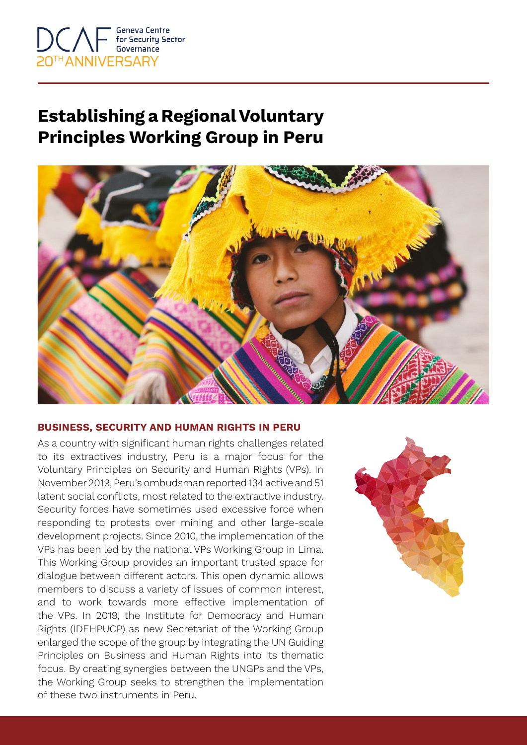

## **Establishing a Regional Voluntary Principles Working Group in Peru**



## **BUSINESS, SECURITY AND HUMAN RIGHTS IN PERU**

As a country with significant human rights challenges related to its extractives industry, Peru is a major focus for the Voluntary Principles on Security and Human Rights (VPs). In November 2019, Peru's ombudsman reported 134 active and 51 latent social conflicts, most related to the extractive industry. Security forces have sometimes used excessive force when responding to protests over mining and other large-scale development projects. Since 2010, the implementation of the VPs has been led by the national VPs Working Group in Lima. This Working Group provides an important trusted space for dialogue between different actors. This open dynamic allows members to discuss a variety of issues of common interest, and to work towards more effective implementation of the VPs. In 2019, the Institute for Democracy and Human Rights (IDEHPUCP) as new Secretariat of the Working Group enlarged the scope of the group by integrating the UN Guiding Principles on Business and Human Rights into its thematic focus. By creating synergies between the UNGPs and the VPs, the Working Group seeks to strengthen the implementation of these two instruments in Peru.